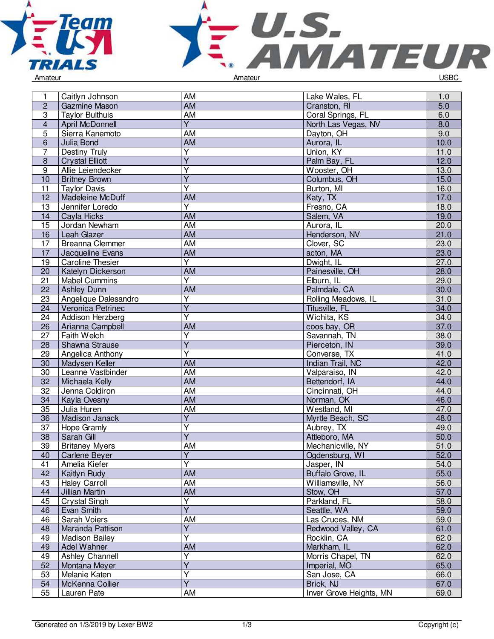



| 1               | Caitlyn Johnson         | AM                      | Lake Wales, FL          | 1.0              |
|-----------------|-------------------------|-------------------------|-------------------------|------------------|
| $\overline{2}$  | Gazmine Mason           | <b>AM</b>               | Cranston, RI            | $\overline{5.0}$ |
| 3               | <b>Taylor Bulthuis</b>  | AM                      | Coral Springs, FL       | 6.0              |
| $\overline{4}$  | April McDonnell         | $\overline{Y}$          | North Las Vegas, NV     | 8.0              |
| 5               | Sierra Kanemoto         | AM                      | Dayton, OH              | 9.0              |
| 6               | Julia Bond              | AM                      | Aurora, IL              | 10.0             |
| $\overline{7}$  |                         | $\overline{\mathsf{Y}}$ |                         | 11.0             |
|                 | Destiny Truly           | $\overline{\mathsf{Y}}$ | Union, KY               | 12.0             |
| 8               | <b>Crystal Elliott</b>  | $\overline{\mathsf{Y}}$ | Palm Bay, FL            |                  |
| 9               | Allie Leiendecker       | $\overline{Y}$          | Wooster, OH             | 13.0             |
| 10              | <b>Britney Brown</b>    |                         | Columbus, OH            | 15.0             |
| 11              | <b>Taylor Davis</b>     | Ÿ                       | Burton, MI              | 16.0             |
| 12              | Madeleine McDuff        | AM                      | Katy, TX                | 17.0             |
| 13              | Jennifer Loredo         | Ÿ                       | Fresno, CA              | 18.0             |
| 14              | Cayla Hicks             | AM                      | Salem, VA               | 19.0             |
| 15              | Jordan Newham           | AM                      | Aurora, IL              | 20.0             |
| 16              | Leah Glazer             | <b>AM</b>               | Henderson, NV           | 21.0             |
| 17              | <b>Breanna Clemmer</b>  | <b>AM</b>               | Clover, SC              | 23.0             |
| 17              | Jacqueline Evans        | <b>AM</b>               | acton, MA               | 23.0             |
| 19              | <b>Caroline Thesier</b> | $\overline{Y}$          | Dwight, IL              | 27.0             |
| 20              | Katelyn Dickerson       | AM                      | Painesville, OH         | 28.0             |
| 21              | <b>Mabel Cummins</b>    | Y                       | Elburn, IL              | 29.0             |
| 22              | <b>Ashley Dunn</b>      | AM                      | Palmdale, CA            | 30.0             |
| 23              | Angelique Dalesandro    | Υ                       | Rolling Meadows, IL     | 31.0             |
| 24              | Veronica Petrinec       | $\overline{Y}$          | Titusville, FL          | 34.0             |
| 24              | Addison Herzberg        | $\overline{\mathsf{Y}}$ | Wichita, KS             | 34.0             |
| 26              | Arianna Campbell        | AM                      | coos bay, OR            | 37.0             |
| $\overline{27}$ | Faith Welch             | $\overline{\mathsf{Y}}$ | Savannah, TN            | 38.0             |
| 28              | Shawna Strause          | $\overline{\mathsf{Y}}$ | Pierceton, IN           | 39.0             |
| 29              | Angelica Anthony        | $\overline{\mathsf{Y}}$ | Converse, TX            | 41.0             |
| 30              | Madysen Keller          | AM                      | Indian Trail, NC        | 42.0             |
| 30              | Leanne Vastbinder       | AM                      | Valparaiso, IN          | 42.0             |
| 32              | Michaela Kelly          | AM                      | Bettendorf, IA          | 44.0             |
| 32              | Jenna Coldiron          | AM                      | Cincinnati, OH          | 44.0             |
| 34              | Kayla Ovesny            | AM                      | Norman, OK              | 46.0             |
| 35              | Julia Huren             | AM                      | Westland, MI            | 47.0             |
| 36              | Madison Janack          | $\overline{Y}$          | Myrtle Beach, SC        | 48.0             |
| 37              | Hope Gramly             | $\overline{\mathsf{Y}}$ | Aubrey, TX              | 49.0             |
| 38              | Sarah Gill              | $\overline{\mathsf{Y}}$ | Attleboro, MA           | 50.0             |
| 39              | <b>Britaney Myers</b>   | AM                      | Mechanicville, NY       | 51.0             |
| 40              | Carlene Beyer           | Y                       | Ogdensburg, WI          | 52.0             |
| 41              | Amelia Kiefer           | Ÿ                       | Jasper, IN              | 54.0             |
| 42              | Kaitlyn Rudy            | AM                      | Buffalo Grove, IL       | 55.0             |
| 43              | <b>Haley Carroll</b>    | AM                      | Williamsville, NY       | 56.0             |
| 44              | Jillian Martin          | AM                      | Stow, OH                | 57.0             |
| 45              | Crystal Singh           | Υ                       | Parkland, FL            | 58.0             |
| 46              | Evan Smith              | $\overline{Y}$          | Seattle, WA             | 59.0             |
| 46              |                         | AM                      | Las Cruces, NM          | 59.0             |
|                 | Sarah Voiers            | $\overline{Y}$          |                         |                  |
| 48              | Maranda Pattison        | $\overline{\mathsf{Y}}$ | Redwood Valley, CA      | 61.0             |
| 49              | <b>Madison Bailey</b>   |                         | Rocklin, CA             | 62.0             |
| 49              | Adel Wahner             | AM                      | Markham, IL             | 62.0             |
| 49              | Ashley Channell         | $\overline{\mathsf{Y}}$ | Morris Chapel, TN       | 62.0             |
| 52              | Montana Meyer           | $\overline{\mathsf{Y}}$ | Imperial, MO            | 65.0             |
| 53              | Melanie Katen           | $\overline{\mathsf{Y}}$ | San Jose, CA            | 66.0             |
| 54              | McKenna Collier         | $\overline{Y}$          | Brick, NJ               | 67.0             |
| 55              | Lauren Pate             | AM                      | Inver Grove Heights, MN | 69.0             |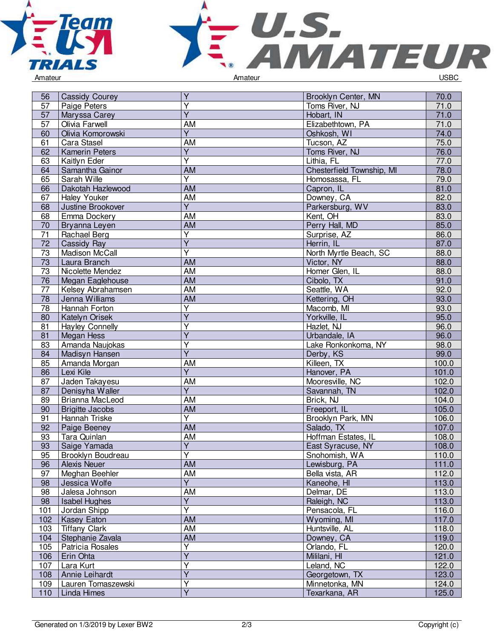

56 Cassidy Courey



Y Arrest Brooklyn Center, MN 70.0

| 57              | Paige Peters           | Y                       | Toms River, NJ            | 71.0  |
|-----------------|------------------------|-------------------------|---------------------------|-------|
| 57              | Maryssa Carey          | $\overline{Y}$          | Hobart, IN                | 71.0  |
| 57              | Olivia Farwell         | AM                      | Elizabethtown, PA         | 71.0  |
| 60              | Olivia Komorowski      | Ÿ                       | Oshkosh, WI               | 74.0  |
| 61              | Cara Stasel            | AM                      | Tucson, AZ                | 75.0  |
| 62              | <b>Kamerin Peters</b>  | Ÿ                       | Toms River, NJ            | 76.0  |
| 63              | Kaitlyn Eder           | $\overline{Y}$          | Lithia, FL                | 77.0  |
| 64              | Samantha Gainor        | <b>AM</b>               | Chesterfield Township, MI | 78.0  |
| 65              | Sarah Wille            | $\overline{\mathsf{Y}}$ | Homosassa, FL             | 79.0  |
| 66              | Dakotah Hazlewood      | <b>AM</b>               | Capron, IL                | 81.0  |
| 67              | Haley Youker           | <b>AM</b>               | Downey, CA                | 82.0  |
| 68              | Justine Brookover      | $\overline{Y}$          | Parkersburg, WV           | 83.0  |
| 68              | Emma Dockery           | AM                      | Kent, OH                  | 83.0  |
| 70              | Bryanna Leyen          | AM                      | Perry Hall, MD            | 85.0  |
| 71              | Rachael Berg           | Υ                       | Surprise, AZ              | 86.0  |
| 72              | Cassidy Ray            | $\overline{Y}$          | Herrin, IL                | 87.0  |
| 73              | Madison McCall         | Y                       | North Myrtle Beach, SC    | 88.0  |
| 73              | Laura Branch           | <b>AM</b>               | Victor, NY                | 88.0  |
| 73              | Nicolette Mendez       | AM                      | Homer Glen, IL            | 88.0  |
| 76              | Megan Eaglehouse       | <b>AM</b>               | Cibolo, TX                | 91.0  |
| 77              | Kelsey Abrahamsen      | <b>AM</b>               | Seattle, WA               | 92.0  |
| 78              | Jenna Williams         | AM                      | Kettering, OH             | 93.0  |
| 78              | Hannah Forton          | $\overline{Y}$          | Macomb, MI                | 93.0  |
| 80              | Katelyn Orisek         | $\overline{\mathsf{Y}}$ | Yorkville, IL             | 95.0  |
| 81              | <b>Hayley Connelly</b> | Υ                       | Hazlet, NJ                | 96.0  |
| 81              | <b>Megan Hess</b>      | $\overline{Y}$          | Urbandale, IA             | 96.0  |
| 83              | Amanda Naujokas        | Y                       | Lake Ronkonkoma, NY       | 98.0  |
| 84              | Madisyn Hansen         | $\overline{Y}$          | Derby, KS                 | 99.0  |
| 85              | Amanda Morgan          | AM                      | Killeen, TX               | 100.0 |
| 86              | Lexi Kile              | $\overline{\mathsf{Y}}$ | Hanover, PA               | 101.0 |
| 87              | Jaden Takayesu         | AM                      | Mooresville, NC           | 102.0 |
| 87              | Denisyha Waller        | $\overline{Y}$          | Savannah, TN              | 102.0 |
| 89              | Brianna MacLeod        | AM                      | Brick, NJ                 | 104.0 |
| 90              | <b>Brigitte Jacobs</b> | AM                      | Freeport, IL              | 105.0 |
| 91              | Hannah Triske          | Y                       | Brooklyn Park, MN         | 106.0 |
| 92              | Paige Beeney           | <b>AM</b>               | Salado, TX                | 107.0 |
| 93              | Tara Quinlan           | AM                      | Hoffman Estates, IL       | 108.0 |
| 93              | Saige Yamada           | $\overline{\mathsf{Y}}$ | East Syracuse, NY         | 108.0 |
| 95              | Brooklyn Boudreau      | $\overline{\mathsf{Y}}$ | Snohomish, WA             | 110.0 |
| $\overline{96}$ | <b>Alexis Neuer</b>    | <b>AM</b>               | Lewisburg, PA             | 111.0 |
| 97              | Meghan Beehler         | <b>AM</b>               | Bella vista, AR           | 112.0 |
| 98              | Jessica Wolfe          | $\overline{Y}$          | Kaneohe, HI               | 113.0 |
| 98              | Jalesa Johnson         | AM                      | Delmar, DE                | 113.0 |
| 98              | <b>Isabel Hughes</b>   | Υ                       | Raleigh, NC               | 113.0 |
| 101             | Jordan Shipp           | $\overline{\mathsf{Y}}$ | Pensacola, FL             | 116.0 |
| 102             | Kasey Eaton            | <b>AM</b>               | Wyoming, MI               | 117.0 |
| 103             | <b>Tiffany Clark</b>   | <b>AM</b>               | Huntsville, AL            | 118.0 |
| 104             | Stephanie Zavala       | <b>AM</b>               | Downey, CA                | 119.0 |
| 105             | Patricia Rosales       | Y                       | Orlando, FL               | 120.0 |
| 106             | Erin Ohta              | $\overline{Y}$          | Mililani, HI              | 121.0 |
| 107             | Lara Kurt              | $\overline{\mathsf{Y}}$ | Leland, NC                | 122.0 |
| 108             | Annie Leihardt         | $\overline{Y}$          | Georgetown, TX            | 123.0 |
| 109             | Lauren Tomaszewski     | Υ                       | Minnetonka, MN            | 124.0 |
| 110             | Linda Himes            | $\overline{\mathsf{Y}}$ | Texarkana, AR             | 125.0 |